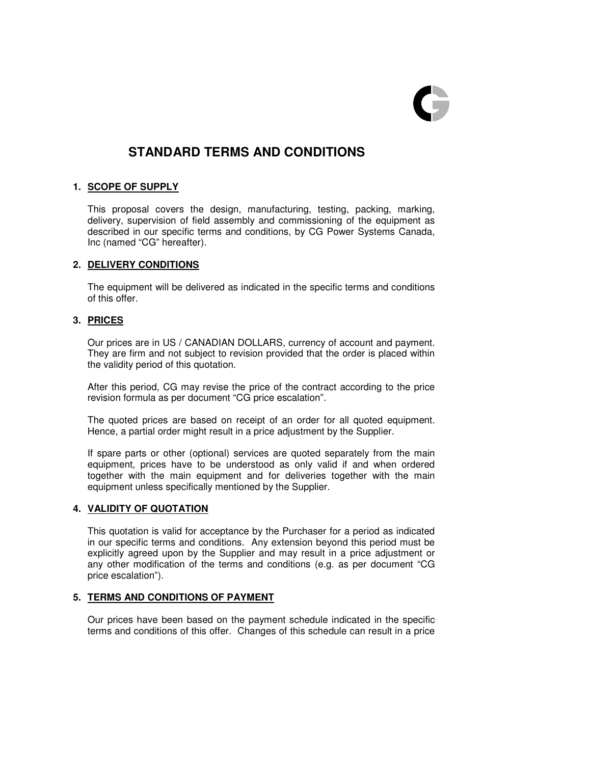

# **STANDARD TERMS AND CONDITIONS**

### **1. SCOPE OF SUPPLY**

 This proposal covers the design, manufacturing, testing, packing, marking, delivery, supervision of field assembly and commissioning of the equipment as described in our specific terms and conditions, by CG Power Systems Canada, Inc (named "CG" hereafter).

# **2. DELIVERY CONDITIONS**

 The equipment will be delivered as indicated in the specific terms and conditions of this offer.

# **3. PRICES**

Our prices are in US / CANADIAN DOLLARS, currency of account and payment. They are firm and not subject to revision provided that the order is placed within the validity period of this quotation.

 After this period, CG may revise the price of the contract according to the price revision formula as per document "CG price escalation".

 The quoted prices are based on receipt of an order for all quoted equipment. Hence, a partial order might result in a price adjustment by the Supplier.

 If spare parts or other (optional) services are quoted separately from the main equipment, prices have to be understood as only valid if and when ordered together with the main equipment and for deliveries together with the main equipment unless specifically mentioned by the Supplier.

# **4. VALIDITY OF QUOTATION**

 This quotation is valid for acceptance by the Purchaser for a period as indicated in our specific terms and conditions. Any extension beyond this period must be explicitly agreed upon by the Supplier and may result in a price adjustment or any other modification of the terms and conditions (e.g. as per document "CG price escalation").

# **5. TERMS AND CONDITIONS OF PAYMENT**

Our prices have been based on the payment schedule indicated in the specific terms and conditions of this offer. Changes of this schedule can result in a price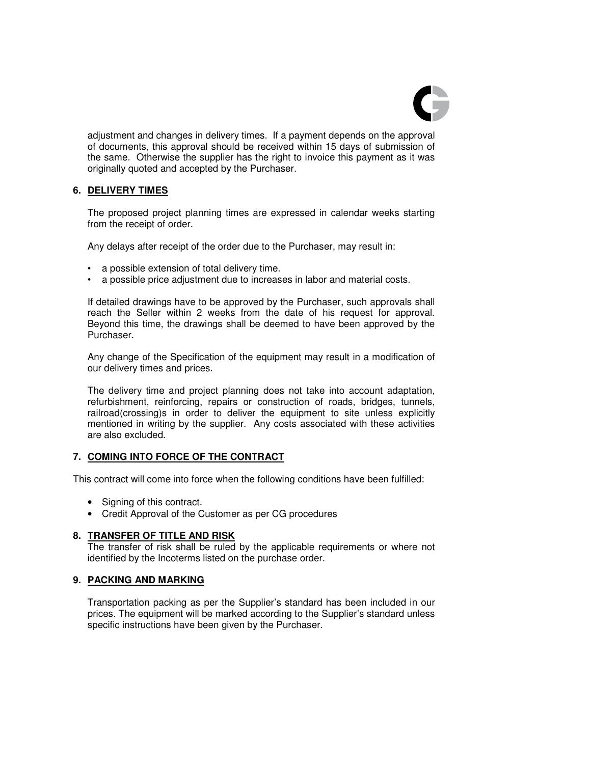

adjustment and changes in delivery times. If a payment depends on the approval of documents, this approval should be received within 15 days of submission of the same. Otherwise the supplier has the right to invoice this payment as it was originally quoted and accepted by the Purchaser.

# **6. DELIVERY TIMES**

The proposed project planning times are expressed in calendar weeks starting from the receipt of order.

Any delays after receipt of the order due to the Purchaser, may result in:

- a possible extension of total delivery time.
- a possible price adjustment due to increases in labor and material costs.

If detailed drawings have to be approved by the Purchaser, such approvals shall reach the Seller within 2 weeks from the date of his request for approval. Beyond this time, the drawings shall be deemed to have been approved by the Purchaser.

Any change of the Specification of the equipment may result in a modification of our delivery times and prices.

The delivery time and project planning does not take into account adaptation, refurbishment, reinforcing, repairs or construction of roads, bridges, tunnels, railroad(crossing)s in order to deliver the equipment to site unless explicitly mentioned in writing by the supplier. Any costs associated with these activities are also excluded.

### **7. COMING INTO FORCE OF THE CONTRACT**

This contract will come into force when the following conditions have been fulfilled:

- Signing of this contract.
- Credit Approval of the Customer as per CG procedures

# **8. TRANSFER OF TITLE AND RISK**

 The transfer of risk shall be ruled by the applicable requirements or where not identified by the Incoterms listed on the purchase order.

### **9. PACKING AND MARKING**

Transportation packing as per the Supplier's standard has been included in our prices. The equipment will be marked according to the Supplier's standard unless specific instructions have been given by the Purchaser.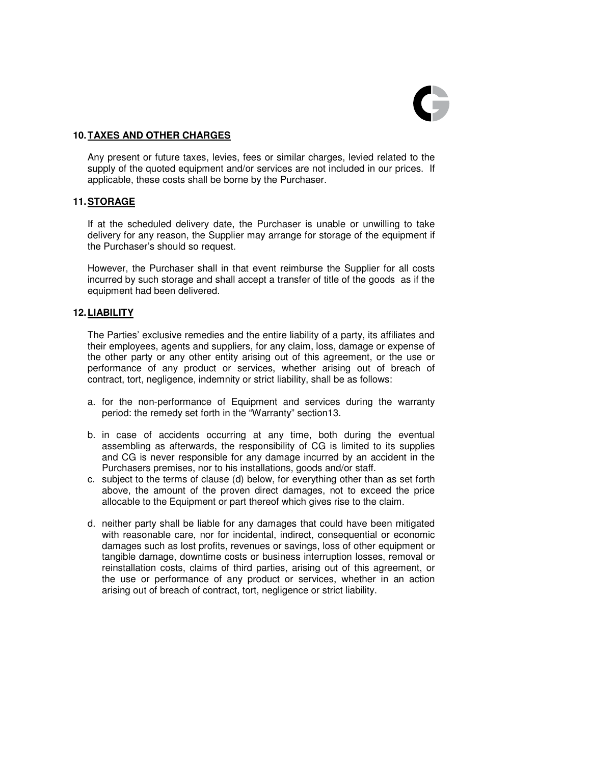

# **10. TAXES AND OTHER CHARGES**

 Any present or future taxes, levies, fees or similar charges, levied related to the supply of the quoted equipment and/or services are not included in our prices. If applicable, these costs shall be borne by the Purchaser.

# **11. STORAGE**

 If at the scheduled delivery date, the Purchaser is unable or unwilling to take delivery for any reason, the Supplier may arrange for storage of the equipment if the Purchaser's should so request.

 However, the Purchaser shall in that event reimburse the Supplier for all costs incurred by such storage and shall accept a transfer of title of the goods as if the equipment had been delivered.

# **12. LIABILITY**

The Parties' exclusive remedies and the entire liability of a party, its affiliates and their employees, agents and suppliers, for any claim, loss, damage or expense of the other party or any other entity arising out of this agreement, or the use or performance of any product or services, whether arising out of breach of contract, tort, negligence, indemnity or strict liability, shall be as follows:

- a. for the non-performance of Equipment and services during the warranty period: the remedy set forth in the "Warranty" section13.
- b. in case of accidents occurring at any time, both during the eventual assembling as afterwards, the responsibility of CG is limited to its supplies and CG is never responsible for any damage incurred by an accident in the Purchasers premises, nor to his installations, goods and/or staff.
- c. subject to the terms of clause (d) below, for everything other than as set forth above, the amount of the proven direct damages, not to exceed the price allocable to the Equipment or part thereof which gives rise to the claim.
- d. neither party shall be liable for any damages that could have been mitigated with reasonable care, nor for incidental, indirect, consequential or economic damages such as lost profits, revenues or savings, loss of other equipment or tangible damage, downtime costs or business interruption losses, removal or reinstallation costs, claims of third parties, arising out of this agreement, or the use or performance of any product or services, whether in an action arising out of breach of contract, tort, negligence or strict liability.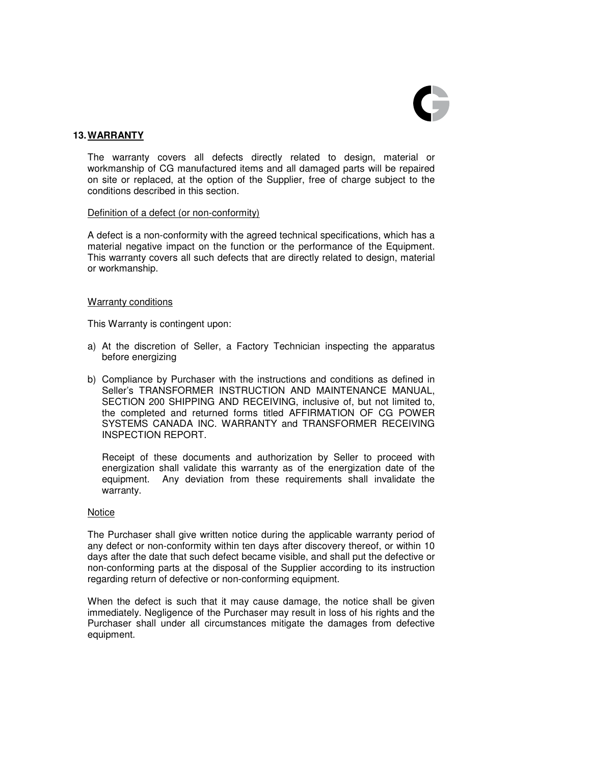

# **13. WARRANTY**

 The warranty covers all defects directly related to design, material or workmanship of CG manufactured items and all damaged parts will be repaired on site or replaced, at the option of the Supplier, free of charge subject to the conditions described in this section.

### Definition of a defect (or non-conformity)

 A defect is a non-conformity with the agreed technical specifications, which has a material negative impact on the function or the performance of the Equipment. This warranty covers all such defects that are directly related to design, material or workmanship.

#### Warranty conditions

This Warranty is contingent upon:

- a) At the discretion of Seller, a Factory Technician inspecting the apparatus before energizing
- b) Compliance by Purchaser with the instructions and conditions as defined in Seller's TRANSFORMER INSTRUCTION AND MAINTENANCE MANUAL, SECTION 200 SHIPPING AND RECEIVING, inclusive of, but not limited to, the completed and returned forms titled AFFIRMATION OF CG POWER SYSTEMS CANADA INC. WARRANTY and TRANSFORMER RECEIVING INSPECTION REPORT.

Receipt of these documents and authorization by Seller to proceed with energization shall validate this warranty as of the energization date of the equipment. Any deviation from these requirements shall invalidate the warranty.

### Notice

 The Purchaser shall give written notice during the applicable warranty period of any defect or non-conformity within ten days after discovery thereof, or within 10 days after the date that such defect became visible, and shall put the defective or non-conforming parts at the disposal of the Supplier according to its instruction regarding return of defective or non-conforming equipment.

When the defect is such that it may cause damage, the notice shall be given immediately. Negligence of the Purchaser may result in loss of his rights and the Purchaser shall under all circumstances mitigate the damages from defective equipment.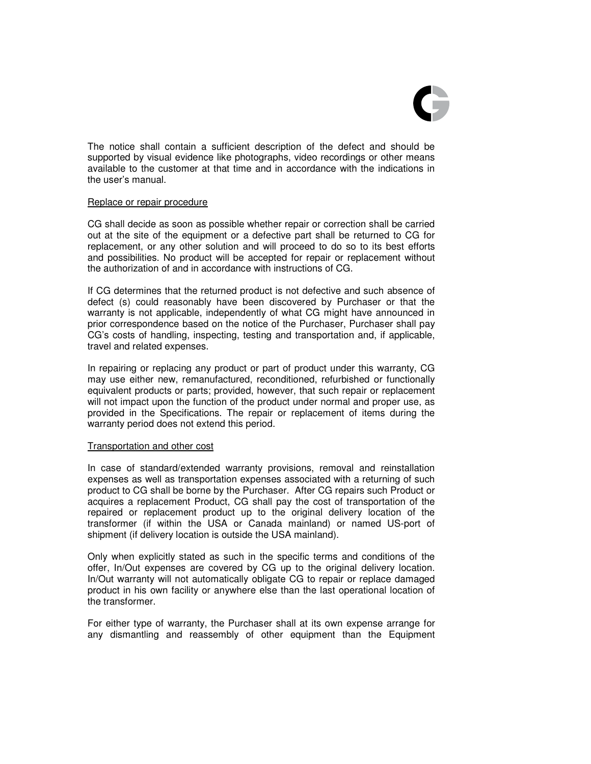

The notice shall contain a sufficient description of the defect and should be supported by visual evidence like photographs, video recordings or other means available to the customer at that time and in accordance with the indications in the user's manual.

#### Replace or repair procedure

CG shall decide as soon as possible whether repair or correction shall be carried out at the site of the equipment or a defective part shall be returned to CG for replacement, or any other solution and will proceed to do so to its best efforts and possibilities. No product will be accepted for repair or replacement without the authorization of and in accordance with instructions of CG.

If CG determines that the returned product is not defective and such absence of defect (s) could reasonably have been discovered by Purchaser or that the warranty is not applicable, independently of what CG might have announced in prior correspondence based on the notice of the Purchaser, Purchaser shall pay CG's costs of handling, inspecting, testing and transportation and, if applicable, travel and related expenses.

In repairing or replacing any product or part of product under this warranty, CG may use either new, remanufactured, reconditioned, refurbished or functionally equivalent products or parts; provided, however, that such repair or replacement will not impact upon the function of the product under normal and proper use, as provided in the Specifications. The repair or replacement of items during the warranty period does not extend this period.

#### Transportation and other cost

In case of standard/extended warranty provisions, removal and reinstallation expenses as well as transportation expenses associated with a returning of such product to CG shall be borne by the Purchaser. After CG repairs such Product or acquires a replacement Product, CG shall pay the cost of transportation of the repaired or replacement product up to the original delivery location of the transformer (if within the USA or Canada mainland) or named US-port of shipment (if delivery location is outside the USA mainland).

Only when explicitly stated as such in the specific terms and conditions of the offer, In/Out expenses are covered by CG up to the original delivery location. In/Out warranty will not automatically obligate CG to repair or replace damaged product in his own facility or anywhere else than the last operational location of the transformer.

For either type of warranty, the Purchaser shall at its own expense arrange for any dismantling and reassembly of other equipment than the Equipment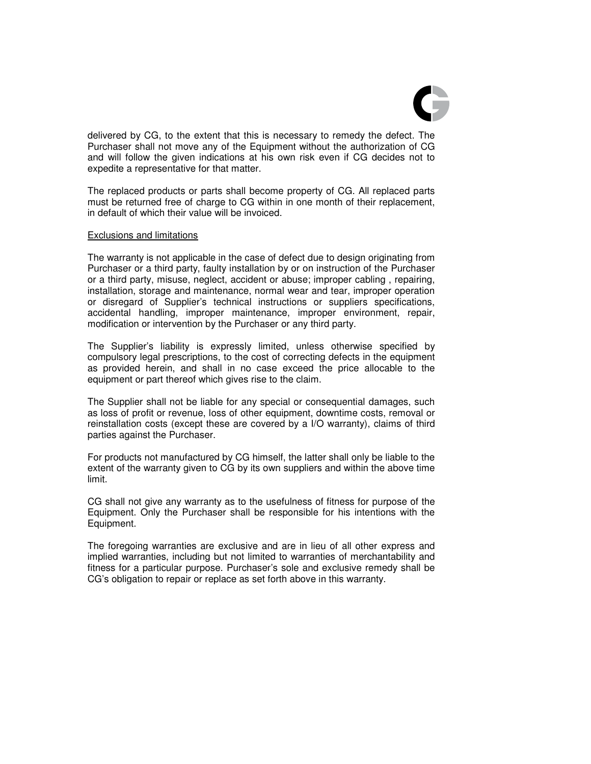

delivered by CG, to the extent that this is necessary to remedy the defect. The Purchaser shall not move any of the Equipment without the authorization of CG and will follow the given indications at his own risk even if CG decides not to expedite a representative for that matter.

 The replaced products or parts shall become property of CG. All replaced parts must be returned free of charge to CG within in one month of their replacement, in default of which their value will be invoiced.

#### Exclusions and limitations

 The warranty is not applicable in the case of defect due to design originating from Purchaser or a third party, faulty installation by or on instruction of the Purchaser or a third party, misuse, neglect, accident or abuse; improper cabling , repairing, installation, storage and maintenance, normal wear and tear, improper operation or disregard of Supplier's technical instructions or suppliers specifications, accidental handling, improper maintenance, improper environment, repair, modification or intervention by the Purchaser or any third party.

 The Supplier's liability is expressly limited, unless otherwise specified by compulsory legal prescriptions, to the cost of correcting defects in the equipment as provided herein, and shall in no case exceed the price allocable to the equipment or part thereof which gives rise to the claim.

 The Supplier shall not be liable for any special or consequential damages, such as loss of profit or revenue, loss of other equipment, downtime costs, removal or reinstallation costs (except these are covered by a I/O warranty), claims of third parties against the Purchaser.

 For products not manufactured by CG himself, the latter shall only be liable to the extent of the warranty given to CG by its own suppliers and within the above time limit.

CG shall not give any warranty as to the usefulness of fitness for purpose of the Equipment. Only the Purchaser shall be responsible for his intentions with the Equipment.

The foregoing warranties are exclusive and are in lieu of all other express and implied warranties, including but not limited to warranties of merchantability and fitness for a particular purpose. Purchaser's sole and exclusive remedy shall be CG's obligation to repair or replace as set forth above in this warranty.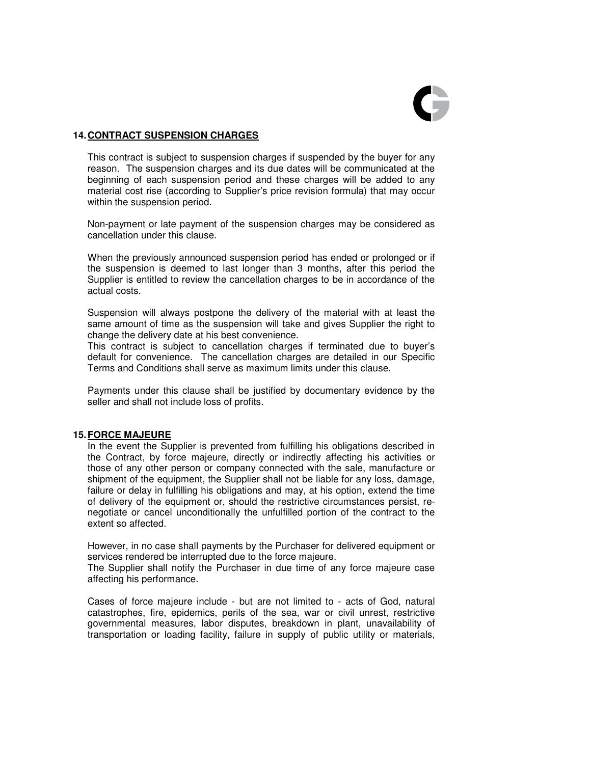

### **14. CONTRACT SUSPENSION CHARGES**

This contract is subject to suspension charges if suspended by the buyer for any reason. The suspension charges and its due dates will be communicated at the beginning of each suspension period and these charges will be added to any material cost rise (according to Supplier's price revision formula) that may occur within the suspension period.

Non-payment or late payment of the suspension charges may be considered as cancellation under this clause.

When the previously announced suspension period has ended or prolonged or if the suspension is deemed to last longer than 3 months, after this period the Supplier is entitled to review the cancellation charges to be in accordance of the actual costs.

Suspension will always postpone the delivery of the material with at least the same amount of time as the suspension will take and gives Supplier the right to change the delivery date at his best convenience.

This contract is subject to cancellation charges if terminated due to buyer's default for convenience. The cancellation charges are detailed in our Specific Terms and Conditions shall serve as maximum limits under this clause.

Payments under this clause shall be justified by documentary evidence by the seller and shall not include loss of profits.

### **15. FORCE MAJEURE**

 In the event the Supplier is prevented from fulfilling his obligations described in the Contract, by force majeure, directly or indirectly affecting his activities or those of any other person or company connected with the sale, manufacture or shipment of the equipment, the Supplier shall not be liable for any loss, damage, failure or delay in fulfilling his obligations and may, at his option, extend the time of delivery of the equipment or, should the restrictive circumstances persist, renegotiate or cancel unconditionally the unfulfilled portion of the contract to the extent so affected.

 However, in no case shall payments by the Purchaser for delivered equipment or services rendered be interrupted due to the force majeure.

 The Supplier shall notify the Purchaser in due time of any force majeure case affecting his performance.

 Cases of force majeure include - but are not limited to - acts of God, natural catastrophes, fire, epidemics, perils of the sea, war or civil unrest, restrictive governmental measures, labor disputes, breakdown in plant, unavailability of transportation or loading facility, failure in supply of public utility or materials,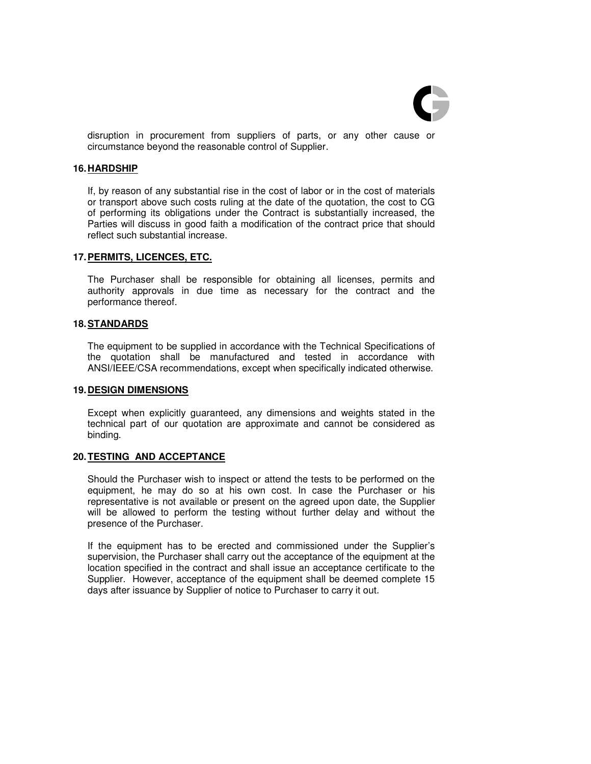

disruption in procurement from suppliers of parts, or any other cause or circumstance beyond the reasonable control of Supplier.

#### **16. HARDSHIP**

If, by reason of any substantial rise in the cost of labor or in the cost of materials or transport above such costs ruling at the date of the quotation, the cost to CG of performing its obligations under the Contract is substantially increased, the Parties will discuss in good faith a modification of the contract price that should reflect such substantial increase.

#### **17. PERMITS, LICENCES, ETC.**

 The Purchaser shall be responsible for obtaining all licenses, permits and authority approvals in due time as necessary for the contract and the performance thereof.

#### **18. STANDARDS**

 The equipment to be supplied in accordance with the Technical Specifications of the quotation shall be manufactured and tested in accordance with ANSI/IEEE/CSA recommendations, except when specifically indicated otherwise.

#### **19. DESIGN DIMENSIONS**

 Except when explicitly guaranteed, any dimensions and weights stated in the technical part of our quotation are approximate and cannot be considered as binding.

### **20. TESTING AND ACCEPTANCE**

 Should the Purchaser wish to inspect or attend the tests to be performed on the equipment, he may do so at his own cost. In case the Purchaser or his representative is not available or present on the agreed upon date, the Supplier will be allowed to perform the testing without further delay and without the presence of the Purchaser.

 If the equipment has to be erected and commissioned under the Supplier's supervision, the Purchaser shall carry out the acceptance of the equipment at the location specified in the contract and shall issue an acceptance certificate to the Supplier. However, acceptance of the equipment shall be deemed complete 15 days after issuance by Supplier of notice to Purchaser to carry it out.